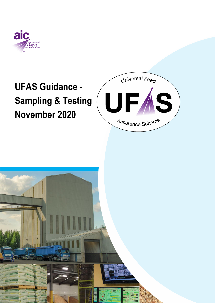

# **UFAS Guidance - Sampling & Testing November 2020**



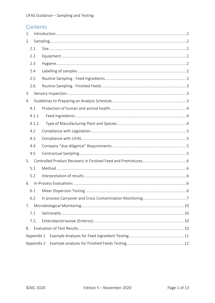# Contents

| 1.             |            |  |  |  |  |  |  |  |  |
|----------------|------------|--|--|--|--|--|--|--|--|
| 2.             |            |  |  |  |  |  |  |  |  |
|                | 2.1        |  |  |  |  |  |  |  |  |
|                | 2.2        |  |  |  |  |  |  |  |  |
| 2.3            |            |  |  |  |  |  |  |  |  |
|                | 2.4        |  |  |  |  |  |  |  |  |
|                | 2.5        |  |  |  |  |  |  |  |  |
|                | 2.6        |  |  |  |  |  |  |  |  |
| 3              |            |  |  |  |  |  |  |  |  |
| $\overline{4}$ |            |  |  |  |  |  |  |  |  |
|                | 4.1        |  |  |  |  |  |  |  |  |
| 4.1.1          |            |  |  |  |  |  |  |  |  |
|                | 4.1.2      |  |  |  |  |  |  |  |  |
|                | 4.2        |  |  |  |  |  |  |  |  |
|                | 4.3        |  |  |  |  |  |  |  |  |
|                | 4.4        |  |  |  |  |  |  |  |  |
|                | 4.5        |  |  |  |  |  |  |  |  |
| 5.             |            |  |  |  |  |  |  |  |  |
|                | 5.1        |  |  |  |  |  |  |  |  |
|                | 5.2        |  |  |  |  |  |  |  |  |
| 6.             |            |  |  |  |  |  |  |  |  |
|                | 6.1        |  |  |  |  |  |  |  |  |
|                | 6.2        |  |  |  |  |  |  |  |  |
| 7.             |            |  |  |  |  |  |  |  |  |
|                | 7.1        |  |  |  |  |  |  |  |  |
|                | 7.2.       |  |  |  |  |  |  |  |  |
| 8.             |            |  |  |  |  |  |  |  |  |
|                | Appendix 1 |  |  |  |  |  |  |  |  |
|                | Appendix 2 |  |  |  |  |  |  |  |  |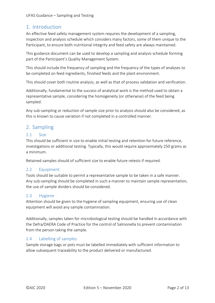# <span id="page-2-0"></span>1. Introduction

An effective feed safety management system requires the development of a sampling, inspection and analysis schedule which considers many factors, some of them unique to the Participant, to ensure both nutritional integrity and feed safety are always maintained.

This guidance document can be used to develop a sampling and analysis schedule forming part of the Participant's Quality Management System.

This should include the frequency of sampling and the frequency of the types of analyses to be completed on feed ingredients, finished feeds and the plant environment.

This should cover both routine analysis, as well as that of process validation and verification.

Additionally, fundamental to the success of analytical work is the method used to obtain a representative sample, considering the homogeneity (or otherwise) of the feed being sampled.

Any sub-sampling or reduction of sample size prior to analysis should also be considered, as this is known to cause variation if not completed in a controlled manner.

# <span id="page-2-1"></span>2. Sampling

### <span id="page-2-2"></span>2.1 Size

This should be sufficient in size to enable initial testing and retention for future reference, investigations or additional testing. Typically, this would require approximately 250 grams as a minimum.

Retained samples should of sufficient size to enable future retests if required.

### <span id="page-2-3"></span>2.2 Equipment

Tools should be suitable to permit a representative sample to be taken in a safe manner. Any sub-sampling should be completed in such a manner to maintain sample representation, the use of sample dividers should be considered.

### <span id="page-2-4"></span>2.3 Hygiene

Attention should be given to the hygiene of sampling equipment, ensuring use of clean equipment will avoid any sample contamination.

Additionally, samples taken for microbiological testing should be handled in accordance with the Defra/DAERA Code of Practice for the control of Salmonella to prevent contamination from the person taking the sample.

### <span id="page-2-5"></span>2.4 Labelling of samples

Sample storage bags or pots must be labelled immediately with sufficient information to allow subsequent traceability to the product delivered or manufactured.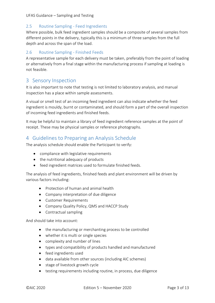### <span id="page-3-0"></span>2.5 Routine Sampling - Feed Ingredients

Where possible, bulk feed ingredient samples should be a composite of several samples from different points in the delivery, typically this is a minimum of three samples from the full depth and across the span of the load.

### <span id="page-3-1"></span>2.6 Routine Sampling - Finished Feeds

A representative sample for each delivery must be taken, preferably from the point of loading or alternatively from a final stage within the manufacturing process if sampling at loading is not feasible.

# <span id="page-3-2"></span>3 Sensory Inspection

It is also important to note that testing is not limited to laboratory analysis, and manual inspection has a place within sample assessments.

A visual or smell test of an incoming feed ingredient can also indicate whether the feed ingredient is mouldy, burnt or contaminated, and should form a part of the overall inspection of incoming feed ingredients and finished feeds.

It may be helpful to maintain a library of feed ingredient reference samples at the point of receipt. These may be physical samples or reference photographs.

# <span id="page-3-3"></span>4 Guidelines to Preparing an Analysis Schedule

The analysis schedule should enable the Participant to verify:

- compliance with legislative requirements
- the nutritional adequacy of products
- feed ingredient matrices used to formulate finished feeds.

The analysis of feed ingredients, finished feeds and plant environment will be driven by various factors including:

- Protection of human and animal health
- Company interpretation of due diligence
- Customer Requirements
- Company Quality Policy, QMS and HACCP Study
- Contractual sampling

And should take into account:

- the manufacturing or merchanting process to be controlled
- whether it is multi or single species
- complexity and number of lines
- types and compatibility of products handled and manufactured
- feed ingredients used
- data available from other sources (including AIC schemes)
- stage of livestock growth cycle
- testing requirements including routine, in process, due diligence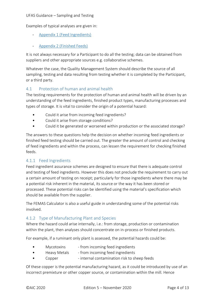Examples of typical analyses are given in:

- [Appendix 1 \(Feed Ingredients\)](#page-11-0)
- [Appendix 2 \(Finished Feeds\)](#page-12-0)

It is not always necessary for a Participant to do all the testing; data can be obtained from suppliers and other appropriate sources e.g. collaborative schemes.

Whatever the case, the Quality Management System should describe the source of all sampling, testing and data resulting from testing whether it is completed by the Participant, or a third party.

### <span id="page-4-0"></span>4.1 Protection of human and animal health

The testing requirements for the protection of human and animal health will be driven by an understanding of the feed ingredients, finished product types, manufacturing processes and types of storage. It is vital to consider the origin of a potential hazard:

- Could it arise from incoming feed ingredients?
- Could it arise from storage conditions?
- Could it be generated or worsened within production or the associated storage?

The answers to these questions help the decision on whether incoming feed ingredients or finished feed testing should be carried out. The greater the amount of control and checking of feed ingredients and within the process, can lessen the requirement for checking finished feeds.

### <span id="page-4-1"></span>4.1.1 Feed Ingredients

Feed ingredient assurance schemes are designed to ensure that there is adequate control and testing of feed ingredients. However this does not preclude the requirement to carry out a certain amount of testing on receipt; particularly for those ingredients where there may be a potential risk inherent in the material, its source or the way it has been stored or processed. These potential risks can be identified using the material's specification which should be available from the supplier.

The FEMAS Calculator is also a useful guide in understanding some of the potential risks involved.

### <span id="page-4-2"></span>4.1.2 Type of Manufacturing Plant and Species

Where the hazard could arise internally, i.e.: from storage, production or contamination within the plant, then analyses should concentrate on in-process or finished products.

For example, if a ruminant only plant is assessed, the potential hazards could be:

- Mycotoxins from incoming feed ingredients
- Heavy Metals from incoming feed ingredients
- Copper internal contamination risk to sheep feeds

Of these copper is the potential manufacturing hazard, as it could be introduced by use of an incorrect premixture or other copper source, or contamination within the mill. Hence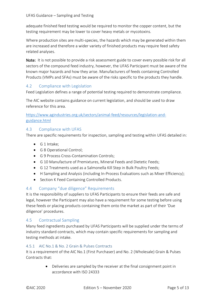adequate finished feed testing would be required to monitor the copper content, but the testing requirement may be lower to cover heavy metals or mycotoxins.

Where production sites are multi-species, the hazards which may be generated within them are increased and therefore a wider variety of finished products may require feed safety related analyses.

Note: It is not possible to provide a risk assessment guide to cover every possible risk for all sectors of the compound feed industry, however, the UFAS Participant must be aware of the known major hazards and how they arise. Manufacturers of feeds containing Controlled Products (VMPs and SFAs) must be aware of the risks specific to the products they handle.

# <span id="page-5-0"></span>4.2 Compliance with Legislation

Feed Legislation defines a range of potential testing required to demonstrate compliance.

The [AIC website](https://www.aictradeassurance.org.uk/ufas/documents/feed-legislation-and-guidance/) contains guidance on current legislation, and should be used to draw reference for this area.

[https://www.agindustries.org.uk/sectors/animal-feed/resources/legislation-and](https://www.agindustries.org.uk/sectors/animal-feed/resources/legislation-and-guidance.html)[guidance.html](https://www.agindustries.org.uk/sectors/animal-feed/resources/legislation-and-guidance.html)

# <span id="page-5-1"></span>4.3 Compliance with UFAS

There are specific requirements for inspection, sampling and testing within UFAS detailed in:

- G 1 Intake;
- G 8 Operational Control;
- G 9 Process Cross-Contamination Controls:
- G 10 Manufacture of Premixtures, Mineral Feeds and Dietetic Feeds;
- G 12 Treatments used as a Salmonella Kill Step in Bulk Poultry Feeds;
- H Sampling and Analysis (including In-Process Evaluations such as Mixer Efficiency);
- Section K Feed Containing Controlled Products.

### <span id="page-5-2"></span>4.4 Company "due diligence" Requirements

It is the responsibility of suppliers to UFAS Participants to ensure their feeds are safe and legal, however the Participant may also have a requirement for some testing before using these feeds or placing products containing them onto the market as part of their 'Due diligence' procedures.

### <span id="page-5-3"></span>4.5 Contractual Sampling

Many feed ingredients purchased by UFAS Participants will be supplied under the terms of industry standard contracts, which may contain specific requirements for sampling and testing methods at intake.

### 4.5.1 AIC No.1 & No. 2 Grain & Pulses Contracts

It is a requirement of the AIC No.1 (First Purchaser) and No. 2 (Wholesale) Grain & Pulses Contracts that:

> • Deliveries are sampled by the receiver at the final consignment point in accordance with ISO 24333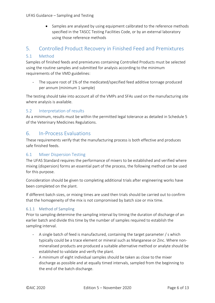• Samples are analysed by using equipment calibrated to the reference methods specified in the TASCC Testing Facilities Code, or by an external laboratory using those reference methods

# <span id="page-6-0"></span>5. Controlled Product Recovery in Finished Feed and Premixtures

### <span id="page-6-1"></span>5.1 Method

Samples of finished feeds and premixtures containing Controlled Products must be selected using the routine samples and submitted for analysis according to the minimum requirements of the VMD guidelines:

- The square root of 1% of the medicated/specified feed additive tonnage produced per annum (minimum 1 sample)

The testing should take into account all of the VMPs and SFAs used on the manufacturing site where analysis is available.

# <span id="page-6-2"></span>5.2 Interpretation of results

As a minimum, results must be within the permitted legal tolerance as detailed in Schedule 5 of the Veterinary Medicines Regulations.

# <span id="page-6-3"></span>6. In-Process Evaluations

These requirements verify that the manufacturing process is both effective and produces safe finished feeds.

### <span id="page-6-4"></span>6.1 Mixer Dispersion Testing

The UFAS Standard requires the performance of mixers to be established and verified where mixing (dispersion) forms an essential part of the process, the following method can be used for this purpose.

Consideration should be given to completing additional trials after engineering works have been completed on the plant.

If different batch sizes, or mixing times are used then trials should be carried out to confirm that the homogeneity of the mix is not compromised by batch size or mix time.

### 6.1.1 Method of Sampling

Prior to sampling determine the sampling interval by timing the duration of discharge of an earlier batch and divide this time by the number of samples required to establish the sampling interval.

- A single batch of feed is manufactured, containing the target parameter / s which typically could be a trace element or mineral such as Manganese or Zinc. Where nonmineralised products are produced a suitable alternative method or analyte should be established to validate and verify the plant.
- A minimum of eight individual samples should be taken as close to the mixer discharge as possible and at equally timed intervals, sampled from the beginning to the end of the batch discharge.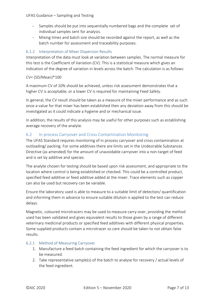- Samples should be put into sequentially numbered bags and the complete set of individual samples sent for analysis.
- Mixing times and batch size should be recorded against the report, as well as the batch number for assessment and traceability purposes.

### 6.1.2 Interpretation of Mixer Dispersion Results

Interpretation of the data must look at variation between samples. The normal measure for this test is the Coefficient of Variation (CV). This is a statistical measure which gives an indication of the degree of variation in levels across the batch. The calculation is as follows:

#### CV= (SD/Mean)\*100

A maximum CV of 10% should be achieved, unless risk assessment demonstrates that a higher CV is acceptable, or a lower CV is required for maintaining Feed Safety.

In general, the CV result should be taken as a measure of the mixer performance and as such once a value for that mixer has been established then any deviation away from this should be investigated as it could indicate a hygiene and or mechanical issue.

In addition, the results of this analysis may be useful for other purposes such as establishing average recovery of the analyte.

### <span id="page-7-0"></span>6.2 In process Carryover and Cross Contamination Monitoring

The UFAS Standard requires monitoring of in process carryover and cross contamination at outloading/ packing. For some additives there are limits set in the Undesirable Substances Directive (as amended) for the amount of unavoidable carryover into a non-target of feed and is set by additive and species.

The analyte chosen for testing should be based upon risk assessment, and appropriate to the location where control is being established or checked. This could be a controlled product, specified feed additive or feed additive added at the mixer. Trace elements such as copper can also be used but recovery can be variable.

Ensure the laboratory used is able to measure to a suitable limit of detection/ quantification and informing them in advance to ensure suitable dilution is applied to the test can reduce delays.

Magnetic, coloured microtracers may be used to measure carry-over, providing the method used has been validated and gives equivalent results to those given by a range of different veterinary medicinal products or specified feed additives with different physical properties. Some supplied products contain a microtracer so care should be taken to not obtain false results.

### 6.2.1 Method of Measuring Carryover

- 1. Manufacture a feed batch containing the feed ingredient for which the carryover is to be measured.
- 2. Take representative sample(s) of the batch to analyse for recovery / actual levels of the feed ingredient.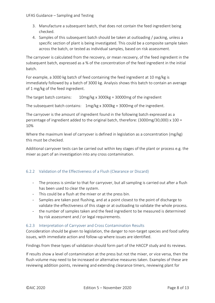- 3. Manufacture a subsequent batch, that does not contain the feed ingredient being checked.
- 4. Samples of this subsequent batch should be taken at outloading / packing, unless a specific section of plant is being investigated. This could be a composite sample taken across the batch, or tested as individual samples, based on risk assessment.

The carryover is calculated from the recovery, or mean recovery, of the feed ingredient in the subsequent batch, expressed as a % of the concentration of the feed ingredient in the initial batch.

For example, a 3000 kg batch of feed containing the feed ingredient at 10 mg/kg is immediately followed by a batch of 3000 kg. Analysis shows this batch to contain an average of 1 mg/kg of the feed ingredient.

The target batch contains:  $10 \text{mg/kg} \times 3000 \text{kg} = 30000 \text{mg of the ingredient}$ 

The subsequent batch contains:  $1mg/kg \times 3000kg = 3000mg$  of the ingredient.

The carryover is the amount of ingredient found in the following batch expressed as a percentage of ingredient added to the original batch, therefore: (3000mg/30,000) x 100 = 10%

Where the maximum level of carryover is defined in legislation as a concentration (mg/kg) this must be checked.

Additional carryover tests can be carried out within key stages of the plant or process e.g. the mixer as part of an investigation into any cross contamination.

### 6.2.2 Validation of the Effectiveness of a Flush (Clearance or Discard)

- The process is similar to that for carryover, but all sampling is carried out after a flush has been used to clear the system.
- This could be a flush at the mixer or at the press bin.
- Samples are taken post flushing, and at a point closest to the point of discharge to validate the effectiveness of this stage or at outloading to validate the whole process.
- the number of samples taken and the feed ingredient to be measured is determined by risk assessment and / or legal requirements.

### 6.2.3 Interpretation of Carryover and Cross Contamination Results

Consideration should be given to legislation, the danger to non-target species and food safety issues, with immediate action and follow-up where issues are identified.

Findings from these types of validation should form part of the HACCP study and its reviews.

If results show a level of contamination at the press but not the mixer, or vice versa, then the flush volume may need to be increased or alternative measures taken. Examples of these are reviewing addition points, reviewing and extending clearance timers, reviewing plant for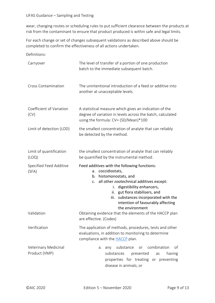wear, changing routes or scheduling rules to put sufficient clearance between the products at risk from the contaminant to ensure that product produced is within safe and legal limits.

For each change or set of changes subsequent validations as described above should be completed to confirm the effectiveness of all actions undertaken.

Definitions:

| Carryover                             | The level of transfer of a portion of one production<br>batch to the immediate subsequent batch.                                                                                                                                                                                                                                        |  |  |  |  |  |
|---------------------------------------|-----------------------------------------------------------------------------------------------------------------------------------------------------------------------------------------------------------------------------------------------------------------------------------------------------------------------------------------|--|--|--|--|--|
| <b>Cross Contamination</b>            | The unintentional introduction of a feed or additive into<br>another at unacceptable levels.                                                                                                                                                                                                                                            |  |  |  |  |  |
| Coefficient of Variation<br>(CV)      | A statistical measure which gives an indication of the<br>degree of variation in levels across the batch, calculated<br>using the formula: CV= (SD/Mean)*100                                                                                                                                                                            |  |  |  |  |  |
| Limit of detection (LOD)              | the smallest concentration of analyte that can reliably<br>be detected by the method.                                                                                                                                                                                                                                                   |  |  |  |  |  |
| Limit of quantification<br>(LOQ)      | the smallest concentration of analyte that can reliably<br>be quantified by the instrumental method.                                                                                                                                                                                                                                    |  |  |  |  |  |
| Specified Feed Additive<br>(SFA)      | Feed additives with the following functions:<br>coccidiostats,<br>a.<br>histomonostats, and<br>b.<br>all other zootechnical additives except:<br>$C_{\star}$<br>digestibility enhancers,<br>i.<br>gut flora stabilisers, and<br>ii.<br>substances incorporated with the<br>iii.<br>intention of favourably affecting<br>the environment |  |  |  |  |  |
| Validation                            | Obtaining evidence that the elements of the HACCP plan<br>are effective. (Codex)                                                                                                                                                                                                                                                        |  |  |  |  |  |
| Verification                          | The application of methods, procedures, tests and other<br>evaluations, in addition to monitoring to determine<br>compliance with the <b>HACCP</b> plan.                                                                                                                                                                                |  |  |  |  |  |
| Veterinary Medicinal<br>Product (VMP) | substance<br>combination<br>of<br>any<br>or<br>а.<br>substances<br>presented<br>having<br>as<br>properties for treating or preventing<br>disease in animals; or                                                                                                                                                                         |  |  |  |  |  |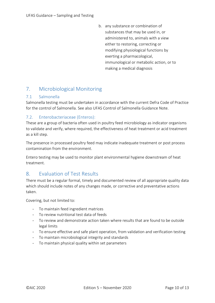b. any substance or combination of substances that may be used in, or administered to, animals with a view either to restoring, correcting or modifying physiological functions by exerting a pharmacological, immunological or metabolic action, or to making a medical diagnosis

# <span id="page-10-0"></span>7. Microbiological Monitoring

# <span id="page-10-1"></span>7.1 Salmonella

Salmonella testing must be undertaken in accordance with the current Defra Code of Practice for the control of Salmonella. See also UFAS Control of Salmonella Guidance Note.

# <span id="page-10-2"></span>7.2. Enterobacteriaceae (Enteros):

These are a group of bacteria often used in poultry feed microbiology as indicator organisms to validate and verify, where required, the effectiveness of heat treatment or acid treatment as a kill step.

The presence in processed poultry feed may indicate inadequate treatment or post process contamination from the environment.

Entero testing may be used to monitor plant environmental hygiene downstream of heat treatment.

# <span id="page-10-3"></span>8. Evaluation of Test Results

There must be a regular formal, timely and documented review of all appropriate quality data which should include notes of any changes made, or corrective and preventative actions taken.

Covering, but not limited to:

- To maintain feed ingredient matrices
- To review nutritional test data of feeds
- To review and demonstrate action taken where results that are found to be outside legal limits
- To ensure effective and safe plant operation, from validation and verification testing
- To maintain microbiological integrity and standards
- To maintain physical quality within set parameters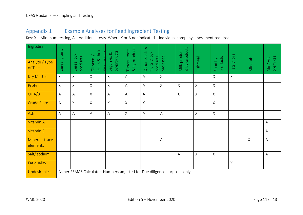# Appendix 1 Example Analyses for Feed Ingredient Testing

Key: X – Minimum testing, A – Additional tests. Where X or A not indicated – individual company assessment required

<span id="page-11-0"></span>

| Ingredient                 |                                                                            |                        |                                                    |                          | & by-products  | $\infty$                                |              | & by-products<br>Milk products |              |                      | $\frac{1}{\overline{a}}$ |             |                      |
|----------------------------|----------------------------------------------------------------------------|------------------------|----------------------------------------------------|--------------------------|----------------|-----------------------------------------|--------------|--------------------------------|--------------|----------------------|--------------------------|-------------|----------------------|
| Analyte / Type<br>of Test  | Cereal grains                                                              | Cereal by-<br>products | fruits & their<br><u>Bv-products</u><br>Oil seeds/ | by-products<br>Legumes & | Tubers, roots  | Other seeds<br>fruits & by-<br>products | Molasses     |                                | Fishmeal     | products<br>Food by- | $\infty$<br>Fats         | Minerals    | premixes<br>Min/ Vit |
| <b>Dry Matter</b>          | $\mathsf{X}$                                                               | $\mathsf{X}$           | Χ                                                  | Χ                        | A              | Α                                       | $\mathsf X$  |                                |              | $\mathsf X$          | $\mathsf{X}% _{0}$       |             |                      |
| Protein                    | $\chi$                                                                     | $\mathsf{X}$           | X                                                  | $\mathsf{X}$             | $\overline{A}$ | A                                       | $\times$     | $\mathsf X$                    | $\mathsf{X}$ | $\mathsf X$          |                          |             |                      |
| Oil A/B                    | $\overline{A}$                                                             | Α                      | X                                                  | A                        | A              | A                                       |              | $\sf X$                        | $\mathsf X$  | $\mathsf X$          |                          |             |                      |
| <b>Crude Fibre</b>         | $\overline{A}$                                                             | $\mathsf X$            | X                                                  | $\mathsf X$              | $\sf X$        | $\mathsf X$                             |              |                                |              | $\sf X$              |                          |             |                      |
| Ash                        | $\overline{A}$                                                             | Α                      | A                                                  | A                        | $\sf X$        | Α                                       | A            |                                | $\times$     | $\mathsf X$          |                          |             |                      |
| Vitamin A                  |                                                                            |                        |                                                    |                          |                |                                         |              |                                |              |                      |                          |             | A                    |
| <b>Vitamin E</b>           |                                                                            |                        |                                                    |                          |                |                                         |              |                                |              |                      |                          |             | A                    |
| Minerals trace<br>elements |                                                                            |                        |                                                    |                          |                |                                         | $\mathsf{A}$ |                                |              |                      |                          | $\mathsf X$ | A                    |
| Salt/ sodium               |                                                                            |                        |                                                    |                          |                |                                         |              | A                              | $\mathsf{X}$ | $\mathsf X$          |                          |             | A                    |
| Fat quality                |                                                                            |                        |                                                    |                          |                |                                         |              |                                |              |                      | $\mathsf X$              |             |                      |
| Undesirables               | As per FEMAS Calculator. Numbers adjusted for Due diligence purposes only. |                        |                                                    |                          |                |                                         |              |                                |              |                      |                          |             |                      |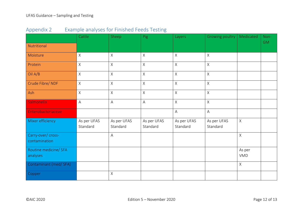<span id="page-12-0"></span>

|                                     | Cattle                  | Sheep                   | Pig                     | Layers                  | Growing poultry         | Medicated            | Non-      |
|-------------------------------------|-------------------------|-------------------------|-------------------------|-------------------------|-------------------------|----------------------|-----------|
| Nutritional                         |                         |                         |                         |                         |                         |                      | <b>GM</b> |
| Moisture                            | $\mathsf X$             | $\times$                | $\mathsf{X}$            | $\mathsf X$             | $\mathsf X$             |                      |           |
| Protein                             | $\mathsf X$             | $\mathsf X$             | $\mathsf X$             | $\mathsf X$             | $\mathsf{X}$            |                      |           |
| Oil A/B                             | $\mathsf X$             | $\mathsf{X}$            | $\mathsf{X}$            | $\mathsf X$             | $\mathsf X$             |                      |           |
| Crude Fibre/ NDF                    | $\times$                | $\mathsf{X}$            | $\mathsf{X}$            | $\mathsf X$             | $\mathsf X$             |                      |           |
| Ash                                 | $\mathsf{X}$            | $\mathsf{X}$            | $\mathsf{X}$            | $\sf X$                 | $\mathsf X$             |                      |           |
| Salmonella                          | $\overline{A}$          | $\overline{A}$          | A                       | $\mathsf X$             | $\mathsf X$             |                      |           |
| Enterobacteriaceae                  |                         |                         |                         | $\overline{\mathsf{A}}$ | $\mathsf A$             |                      |           |
| Mixer efficiency                    | As per UFAS<br>Standard | As per UFAS<br>Standard | As per UFAS<br>Standard | As per UFAS<br>Standard | As per UFAS<br>Standard | X                    |           |
| Carry-over/ cross-<br>contamination |                         | $\overline{\mathsf{A}}$ |                         |                         |                         | $\mathsf X$          |           |
| Routine medicine/ SFA<br>analyses   |                         |                         |                         |                         |                         | As per<br><b>VMD</b> |           |
| Contaminant (med/SFA)               |                         |                         |                         |                         |                         | $\mathsf{X}$         |           |
| Copper                              |                         | $\times$                |                         |                         |                         |                      |           |

Appendix 2 Example analyses for Finished Feeds Testing